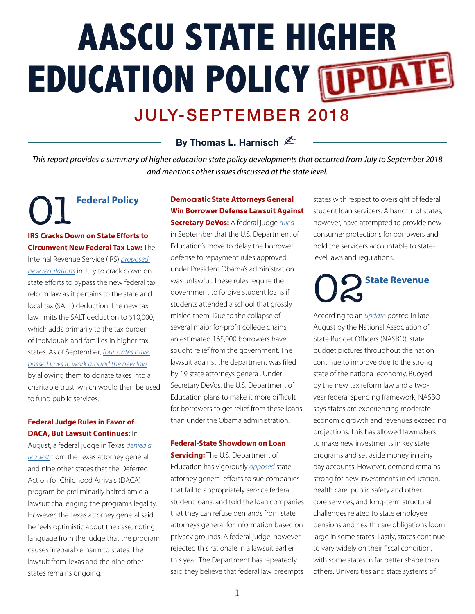# **AASCU STATE HIGHER**  JULY-SEPTEMBER 2018 **EDUCATION POLICY**

### **By Thomas L. Harnisch**  $\mathbb{Z}_D$

*This report provides a summary of higher education state policy developments that occurred from July to September 2018 and mentions other issues discussed at the state level.* 

# **Federal Policy**  01

#### **IRS Cracks Down on State Efforts to Circumvent New Federal Tax Law:** The

Internal Revenue Service (IRS) *[proposed](https://www.cnbc.com/2018/08/23/treasury-and-irs-take-aim-at-blue-states-tax-workarounds-in-new-regulation.html)  [new regulations](https://www.cnbc.com/2018/08/23/treasury-and-irs-take-aim-at-blue-states-tax-workarounds-in-new-regulation.html)* in July to crack down on state efforts to bypass the new federal tax reform law as it pertains to the state and local tax (SALT) deduction. The new tax law limits the SALT deduction to \$10,000, which adds primarily to the tax burden of individuals and families in higher-tax states. As of September, *[four states have](http://www.governing.com/topics/finance/gov-blue-states-get-around-tax-reform.html)  [passed laws to work around the new law](http://www.governing.com/topics/finance/gov-blue-states-get-around-tax-reform.html)* by allowing them to donate taxes into a charitable trust, which would then be used to fund public services.

### **Federal Judge Rules in Favor of DACA, But Lawsuit Continues:** In

August, a federal judge in Texas *[denied a](https://www.texastribune.org/2018/08/31/federal-judge-denies-texas-request-halt-daca-program/)  [request](https://www.texastribune.org/2018/08/31/federal-judge-denies-texas-request-halt-daca-program/)* from the Texas attorney general and nine other states that the Deferred Action for Childhood Arrivals (DACA) program be preliminarily halted amid a lawsuit challenging the program's legality. However, the Texas attorney general said he feels optimistic about the case, noting language from the judge that the program causes irreparable harm to states. The lawsuit from Texas and the nine other states remains ongoing.

### **Democratic State Attorneys General Win Borrower Defense Lawsuit Against**

**Secretary DeVos:** A federal judge *[ruled](https://www.npr.org/2018/09/13/647367937/student-borrowers-and-advocates-win-court-case-against-devos)* in September that the U.S. Department of Education's move to delay the borrower defense to repayment rules approved under President Obama's administration was unlawful. These rules require the government to forgive student loans if students attended a school that grossly misled them. Due to the collapse of several major for-profit college chains, an estimated 165,000 borrowers have sought relief from the government. The lawsuit against the department was filed by 19 state attorneys general. Under Secretary DeVos, the U.S. Department of Education plans to make it more difficult for borrowers to get relief from these loans than under the Obama administration.

#### **Federal-State Showdown on Loan**

**Servicing:** The U.S. Department of Education has vigorously *[opposed](https://www.politico.com/story/2018/09/07/devos-student-loan-companies-774599)* state attorney general efforts to sue companies that fail to appropriately service federal student loans, and told the loan companies that they can refuse demands from state attorneys general for information based on privacy grounds. A federal judge, however, rejected this rationale in a lawsuit earlier this year. The Department has repeatedly said they believe that federal law preempts

states with respect to oversight of federal student loan servicers. A handful of states, however, have attempted to provide new consumer protections for borrowers and hold the servicers accountable to statelevel laws and regulations.

# **State Revenue** 02

According to an *[update](https://higherlogicdownload.s3.amazonaws.com/NASBO/9d2d2db1-c943-4f1b-b750-0fca152d64c2/UploadedImages/Issue%20Briefs%20/Summaries_of_FY19_Proposed__Enacted_Budgets.pdf)* posted in late August by the National Association of State Budget Officers (NASBO), state budget pictures throughout the nation continue to improve due to the strong state of the national economy. Buoyed by the new tax reform law and a twoyear federal spending framework, NASBO says states are experiencing moderate economic growth and revenues exceeding projections. This has allowed lawmakers to make new investments in key state programs and set aside money in rainy day accounts. However, demand remains strong for new investments in education, health care, public safety and other core services, and long-term structural challenges related to state employee pensions and health care obligations loom large in some states. Lastly, states continue to vary widely on their fiscal condition, with some states in far better shape than others. Universities and state systems of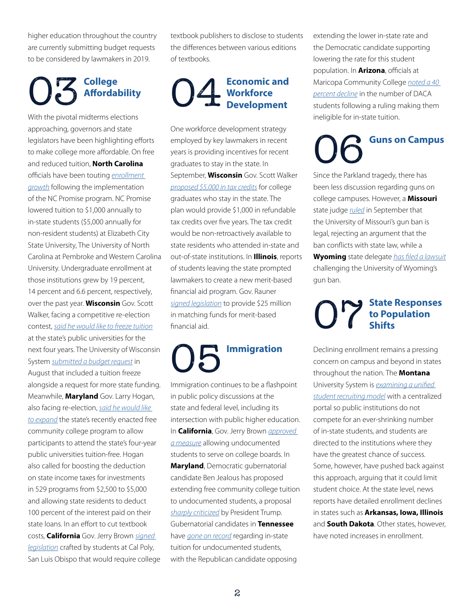higher education throughout the country are currently submitting budget requests to be considered by lawmakers in 2019.

## **College Affordability** 03

With the pivotal midterms elections approaching, governors and state legislators have been highlighting efforts to make college more affordable. On free and reduced tuition, **North Carolina** officials have been touting *[enrollment](https://www.newsobserver.com/news/politics-government/article218006465.html)  [growth](https://www.newsobserver.com/news/politics-government/article218006465.html)* following the implementation of the NC Promise program. NC Promise lowered tuition to \$1,000 annually to in-state students (\$5,000 annually for non-resident students) at Elizabeth City State University, The University of North Carolina at Pembroke and Western Carolina University. Undergraduate enrollment at those institutions grew by 19 percent, 14 percent and 6.6 percent, respectively, over the past year. **Wisconsin** Gov. Scott Walker, facing a competitive re-election contest, *[said he would like to freeze tuition](https://www.jsonline.com/story/news/politics/2018/07/24/scott-walker-would-extend-tuition-freeze-4-more-years/825696002/)* at the state's public universities for the next four years. The University of Wisconsin System *[submitted a budget request](https://madison.com/wsj/news/local/education/university/uw-system-s-budget-proposal-tailors-to-republicans-demand-for/article_0b9b46c3-76fc-58d5-9a6d-73b0aea7ee9b.html)* in August that included a tuition freeze alongside a request for more state funding. Meanwhile, **Maryland** Gov. Larry Hogan, also facing re-election, *[said he would like](https://www.washingtonpost.com/local/md-politics/hogan-wants-to-expand-tuition-free-college-program/2018/07/16/ca0609bc-88fb-11e8-8aea-86e88ae760d8_story.html?noredirect=on&utm_term=.1a4c24b25f95)  [to expand](https://www.washingtonpost.com/local/md-politics/hogan-wants-to-expand-tuition-free-college-program/2018/07/16/ca0609bc-88fb-11e8-8aea-86e88ae760d8_story.html?noredirect=on&utm_term=.1a4c24b25f95)* the state's recently enacted free community college program to allow participants to attend the state's four-year public universities tuition-free. Hogan also called for boosting the deduction on state income taxes for investments in 529 programs from \$2,500 to \$5,000 and allowing state residents to deduct 100 percent of the interest paid on their state loans. In an effort to cut textbook costs, **California** Gov. Jerry Brown *[signed](https://www.sanluisobispo.com/news/local/education/article217468595.html)  [legislation](https://www.sanluisobispo.com/news/local/education/article217468595.html)* crafted by students at Cal Poly, San Luis Obispo that would require college

textbook publishers to disclose to students the differences between various editions of textbooks.

# **Economic and Workforce O4** Economic and<br>
D4 Bevelopment

One workforce development strategy employed by key lawmakers in recent years is providing incentives for recent graduates to stay in the state. In September, **Wisconsin** Gov. Scott Walker *[proposed \\$5,000 in tax credits](https://madison.com/ct/news/local/govt-and-politics/election-matters/scott-walker-proposes-in-tax-credits-for-college-graduates-who/article_73d279c7-ea3f-5c51-901f-d0d97be84b1b.html)* for college graduates who stay in the state. The plan would provide \$1,000 in refundable tax credits over five years. The tax credit would be non-retroactively available to state residents who attended in-state and out-of-state institutions. In **Illinois**, reports of students leaving the state prompted lawmakers to create a new merit-based financial aid program. Gov. Rauner *[signed legislation](http://www.news-gazette.com/news/local/2018-08-22/rauner-signs-pair-higher-education-bills-stop-papa-dels.html)* to provide \$25 million in matching funds for merit-based financial aid.

# **Immigration** 05

Immigration continues to be a flashpoint in public policy discussions at the state and federal level, including its intersection with public higher education. In **California**, Gov. Jerry Brown *[approved](https://statehornet.com/2018/08/capital-report-brown-signs-bill-allowing-undocumented-students-to-serve-on-college-boards/)  [a measure](https://statehornet.com/2018/08/capital-report-brown-signs-bill-allowing-undocumented-students-to-serve-on-college-boards/)* allowing undocumented students to serve on college boards. In **Maryland**, Democratic gubernatorial candidate Ben Jealous has proposed extending free community college tuition to undocumented students, a proposal *[sharply criticized](https://www.washingtonpost.com/local/md-politics/jealous-tries-to-leverage-trumps-attack-on-his-free-community-college-proposal/2018/09/07/91113bbe-b299-11e8-9a6a-565d92a3585d_story.html?utm_term=.77a105466467)* by President Trump. Gubernatorial candidates in **Tennessee**  have *[gone on record](http://www.nashvillepublicradio.org/post/tennessee-s-next-governor-abortion-immigration-and-10-other-issues-where-lee-and-dean-differ#stream/0)* regarding in-state tuition for undocumented students, with the Republican candidate opposing

extending the lower in-state rate and the Democratic candidate supporting lowering the rate for this student population. In **Arizona**, officials at Maricopa Community College *[noted a 40](https://www.azcentral.com/story/news/politics/arizona-education/2018/09/24/arizona-tuition-ruling-big-drop-dreamers-community-colleges/1374502002/)  [percent decline](https://www.azcentral.com/story/news/politics/arizona-education/2018/09/24/arizona-tuition-ruling-big-drop-dreamers-community-colleges/1374502002/)* in the number of DACA students following a ruling making them ineligible for in-state tuition.

# **Guns on Campus**  06

Since the Parkland tragedy, there has been less discussion regarding guns on college campuses. However, a **Missouri** state judge *[ruled](https://www.usnews.com/news/best-states/missouri/articles/2018-09-06/judge-upholds-university-of-missouri-campus-gun-ban)* in September that the University of Missouri's gun ban is legal, rejecting an argument that the ban conflicts with state law, while a **Wyoming** state delegate *[has filed a lawsuit](https://www.foxnews.com/us/republican-delegate-sues-university-of-wyoming-for-campus-gun-ban)* challenging the University of Wyoming's gun ban.

# **State Responses to Population**  O<sup>T</sup> state<br>
Shifts

Declining enrollment remains a pressing concern on campus and beyond in states throughout the nation. The **Montana** University System is *[examining a unified](https://www.bozemandailychronicle.com/news/montana_state_university/regents-weigh-unified-recruiting-cruzado-worried-about-limiting-choice/article_4a9b8139-ccfc-5a16-94e6-38ff6c31458f.html)  [student recruiting model](https://www.bozemandailychronicle.com/news/montana_state_university/regents-weigh-unified-recruiting-cruzado-worried-about-limiting-choice/article_4a9b8139-ccfc-5a16-94e6-38ff6c31458f.html)* with a centralized portal so public institutions do not compete for an ever-shrinking number of in-state students, and students are directed to the institutions where they have the greatest chance of success. Some, however, have pushed back against this approach, arguing that it could limit student choice. At the state level, news reports have detailed enrollment declines in states such as **Arkansas, Iowa, Illinois** and **South Dakota**. Other states, however, have noted increases in enrollment.